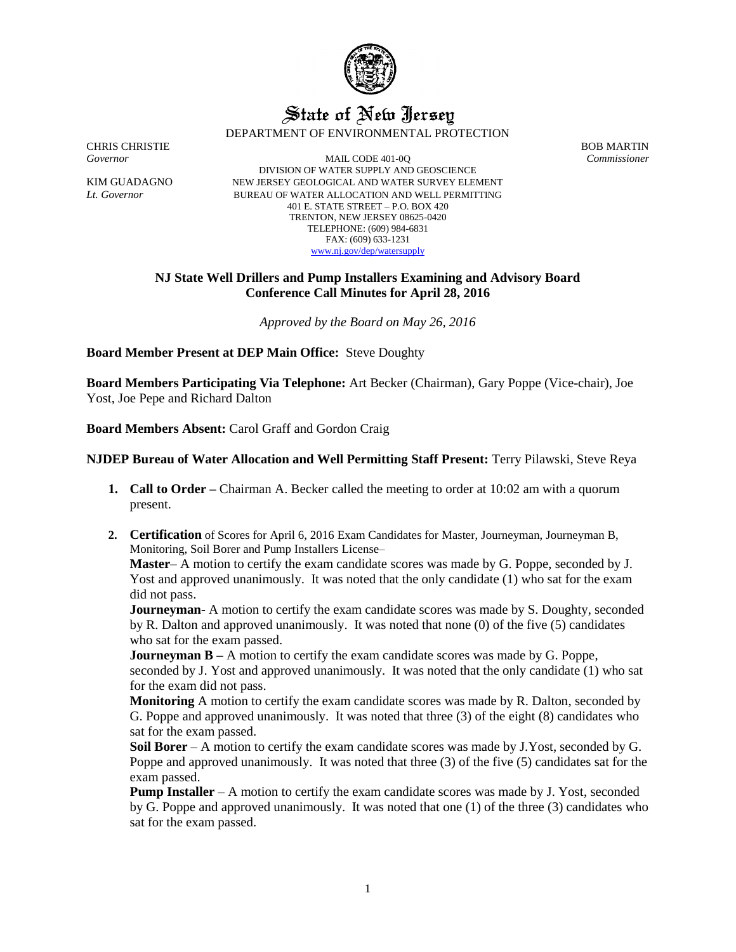

## State of New Jersey DEPARTMENT OF ENVIRONMENTAL PROTECTION

CHRIS CHRISTIE BOB MARTIN

*Governor* MAIL CODE 401-0Q *Commissioner* DIVISION OF WATER SUPPLY AND GEOSCIENCE KIM GUADAGNO NEW JERSEY GEOLOGICAL AND WATER SURVEY ELEMENT *Lt. Governor* BUREAU OF WATER ALLOCATION AND WELL PERMITTING 401 E. STATE STREET – P.O. BOX 420 TRENTON, NEW JERSEY 08625-0420 TELEPHONE: (609) 984-6831 FAX: (609) 633-1231 [www.nj.gov/dep/watersupply](http://www.nj.gov/dep/watersupply)

## **NJ State Well Drillers and Pump Installers Examining and Advisory Board Conference Call Minutes for April 28, 2016**

*Approved by the Board on May 26, 2016*

**Board Member Present at DEP Main Office:** Steve Doughty

**Board Members Participating Via Telephone:** Art Becker (Chairman), Gary Poppe (Vice-chair), Joe Yost, Joe Pepe and Richard Dalton

**Board Members Absent:** Carol Graff and Gordon Craig

## **NJDEP Bureau of Water Allocation and Well Permitting Staff Present:** Terry Pilawski, Steve Reya

- **1. Call to Order –** Chairman A. Becker called the meeting to order at 10:02 am with a quorum present.
- **2. Certification** of Scores for April 6, 2016 Exam Candidates for Master, Journeyman, Journeyman B, Monitoring, Soil Borer and Pump Installers License–

**Master**– A motion to certify the exam candidate scores was made by G. Poppe, seconded by J. Yost and approved unanimously. It was noted that the only candidate (1) who sat for the exam did not pass.

**Journeyman-** A motion to certify the exam candidate scores was made by S. Doughty, seconded by R. Dalton and approved unanimously. It was noted that none (0) of the five (5) candidates who sat for the exam passed.

**Journeyman B** – A motion to certify the exam candidate scores was made by G. Poppe, seconded by J. Yost and approved unanimously. It was noted that the only candidate (1) who sat for the exam did not pass.

**Monitoring** A motion to certify the exam candidate scores was made by R. Dalton, seconded by G. Poppe and approved unanimously. It was noted that three (3) of the eight (8) candidates who sat for the exam passed.

**Soil Borer** – A motion to certify the exam candidate scores was made by J.Yost, seconded by G. Poppe and approved unanimously. It was noted that three (3) of the five (5) candidates sat for the exam passed.

**Pump Installer** – A motion to certify the exam candidate scores was made by J. Yost, seconded by G. Poppe and approved unanimously. It was noted that one (1) of the three (3) candidates who sat for the exam passed.